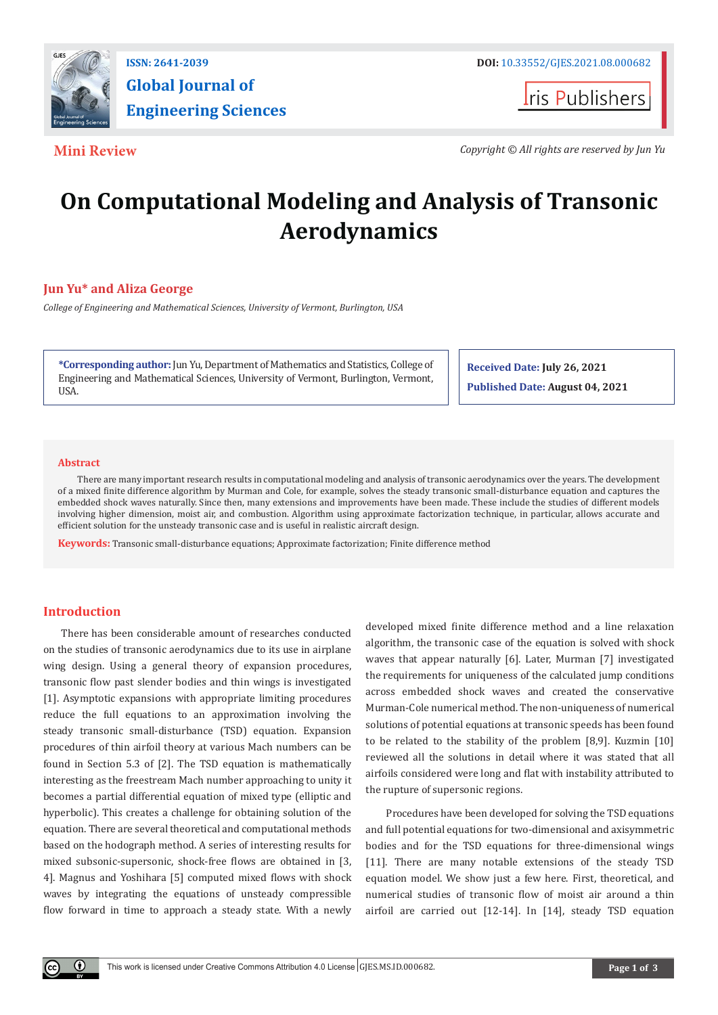

**Global Journal of Engineering Sciences**

**I**ris Publishers

**Mini Review** *Copyright © All rights are reserved by Jun Yu*

# **On Computational Modeling and Analysis of Transonic Aerodynamics**

## **Jun Yu\* and Aliza George**

*College of Engineering and Mathematical Sciences, University of Vermont, Burlington, USA*

**\*Corresponding author:** Jun Yu, Department of Mathematics and Statistics, College of Engineering and Mathematical Sciences, University of Vermont, Burlington, Vermont, USA.

**Received Date: July 26, 2021 Published Date: August 04, 2021**

#### **Abstract**

 There are many important research results in computational modeling and analysis of transonic aerodynamics over the years. The development of a mixed finite difference algorithm by Murman and Cole, for example, solves the steady transonic small-disturbance equation and captures the embedded shock waves naturally. Since then, many extensions and improvements have been made. These include the studies of different models involving higher dimension, moist air, and combustion. Algorithm using approximate factorization technique, in particular, allows accurate and efficient solution for the unsteady transonic case and is useful in realistic aircraft design.

**Keywords:** Transonic small-disturbance equations; Approximate factorization; Finite difference method

### **Introduction**

 $\left( \mathbf{r} \right)$ 

There has been considerable amount of researches conducted on the studies of transonic aerodynamics due to its use in airplane wing design. Using a general theory of expansion procedures, transonic flow past slender bodies and thin wings is investigated [1]. Asymptotic expansions with appropriate limiting procedures reduce the full equations to an approximation involving the steady transonic small-disturbance (TSD) equation. Expansion procedures of thin airfoil theory at various Mach numbers can be found in Section 5.3 of [2]. The TSD equation is mathematically interesting as the freestream Mach number approaching to unity it becomes a partial differential equation of mixed type (elliptic and hyperbolic). This creates a challenge for obtaining solution of the equation. There are several theoretical and computational methods based on the hodograph method. A series of interesting results for mixed subsonic-supersonic, shock-free flows are obtained in [3, 4]. Magnus and Yoshihara [5] computed mixed flows with shock waves by integrating the equations of unsteady compressible flow forward in time to approach a steady state. With a newly

developed mixed finite difference method and a line relaxation algorithm, the transonic case of the equation is solved with shock waves that appear naturally [6]. Later, Murman [7] investigated the requirements for uniqueness of the calculated jump conditions across embedded shock waves and created the conservative Murman-Cole numerical method. The non-uniqueness of numerical solutions of potential equations at transonic speeds has been found to be related to the stability of the problem [8,9]. Kuzmin [10] reviewed all the solutions in detail where it was stated that all airfoils considered were long and flat with instability attributed to the rupture of supersonic regions.

 Procedures have been developed for solving the TSD equations and full potential equations for two-dimensional and axisymmetric bodies and for the TSD equations for three-dimensional wings [11]. There are many notable extensions of the steady TSD equation model. We show just a few here. First, theoretical, and numerical studies of transonic flow of moist air around a thin airfoil are carried out [12-14]. In [14], steady TSD equation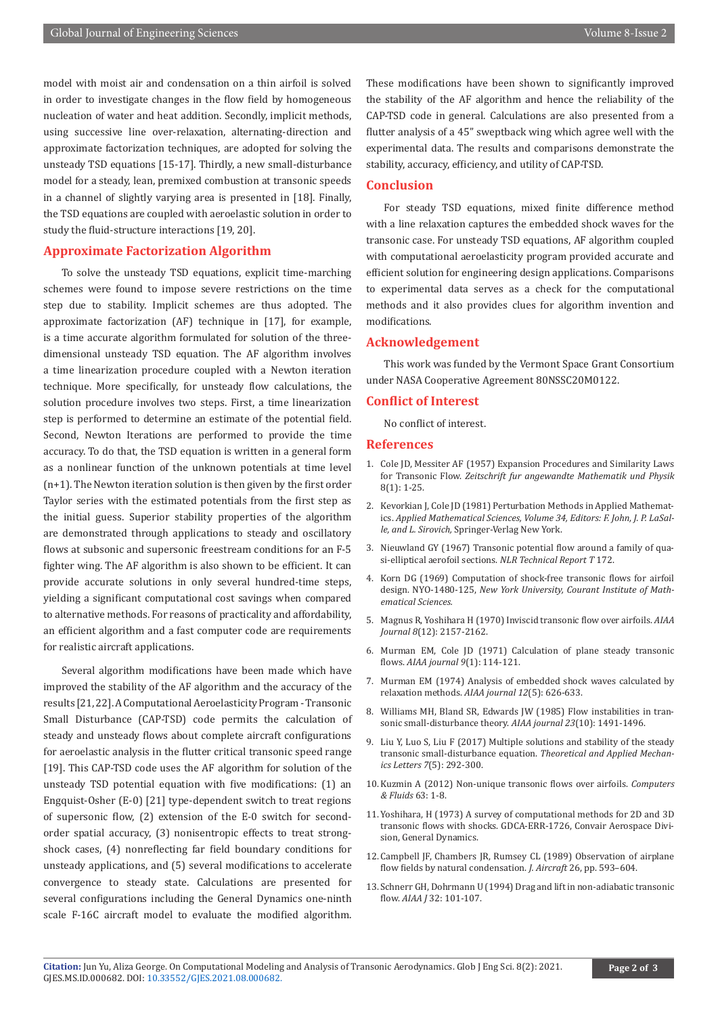model with moist air and condensation on a thin airfoil is solved in order to investigate changes in the flow field by homogeneous nucleation of water and heat addition. Secondly, implicit methods, using successive line over-relaxation, alternating-direction and approximate factorization techniques, are adopted for solving the unsteady TSD equations [15-17]. Thirdly, a new small-disturbance model for a steady, lean, premixed combustion at transonic speeds in a channel of slightly varying area is presented in [18]. Finally, the TSD equations are coupled with aeroelastic solution in order to study the fluid-structure interactions [19, 20].

#### **Approximate Factorization Algorithm**

To solve the unsteady TSD equations, explicit time-marching schemes were found to impose severe restrictions on the time step due to stability. Implicit schemes are thus adopted. The approximate factorization (AF) technique in [17], for example, is a time accurate algorithm formulated for solution of the threedimensional unsteady TSD equation. The AF algorithm involves a time linearization procedure coupled with a Newton iteration technique. More specifically, for unsteady flow calculations, the solution procedure involves two steps. First, a time linearization step is performed to determine an estimate of the potential field. Second, Newton Iterations are performed to provide the time accuracy. To do that, the TSD equation is written in a general form as a nonlinear function of the unknown potentials at time level (n+1). The Newton iteration solution is then given by the first order Taylor series with the estimated potentials from the first step as the initial guess. Superior stability properties of the algorithm are demonstrated through applications to steady and oscillatory flows at subsonic and supersonic freestream conditions for an F-5 fighter wing. The AF algorithm is also shown to be efficient. It can provide accurate solutions in only several hundred-time steps, yielding a significant computational cost savings when compared to alternative methods. For reasons of practicality and affordability, an efficient algorithm and a fast computer code are requirements for realistic aircraft applications.

Several algorithm modifications have been made which have improved the stability of the AF algorithm and the accuracy of the results [21, 22]. A Computational Aeroelasticity Program - Transonic Small Disturbance (CAP-TSD) code permits the calculation of steady and unsteady flows about complete aircraft configurations for aeroelastic analysis in the flutter critical transonic speed range [19]. This CAP-TSD code uses the AF algorithm for solution of the unsteady TSD potential equation with five modifications: (1) an Engquist-Osher (E-0) [21] type-dependent switch to treat regions of supersonic flow, (2) extension of the E-0 switch for secondorder spatial accuracy, (3) nonisentropic effects to treat strongshock cases, (4) nonreflecting far field boundary conditions for unsteady applications, and (5) several modifications to accelerate convergence to steady state. Calculations are presented for several configurations including the General Dynamics one-ninth scale F-16C aircraft model to evaluate the modified algorithm.

These modifications have been shown to significantly improved the stability of the AF algorithm and hence the reliability of the CAP-TSD code in general. Calculations are also presented from a flutter analysis of a 45" sweptback wing which agree well with the experimental data. The results and comparisons demonstrate the stability, accuracy, efficiency, and utility of CAP-TSD.

#### **Conclusion**

For steady TSD equations, mixed finite difference method with a line relaxation captures the embedded shock waves for the transonic case. For unsteady TSD equations, AF algorithm coupled with computational aeroelasticity program provided accurate and efficient solution for engineering design applications. Comparisons to experimental data serves as a check for the computational methods and it also provides clues for algorithm invention and modifications.

### **Acknowledgement**

This work was funded by the Vermont Space Grant Consortium under NASA Cooperative Agreement 80NSSC20M0122.

#### **Conflict of Interest**

No conflict of interest.

#### **References**

- 1. [Cole JD, Messiter AF \(1957\) Expansion Procedures and Similarity Laws](https://link.springer.com/article/10.1007/BF01601152) for Transonic Flow. *[Zeitschrift fur angewandte Mathematik und Physik](https://link.springer.com/article/10.1007/BF01601152)*  [8\(1\): 1-25.](https://link.springer.com/article/10.1007/BF01601152)
- 2. Kevorkian J, Cole JD (1981) Perturbation Methods in Applied Mathematics. *Applied Mathematical Sciences, Volume 34, Editors: F. John, J. P. LaSalle, and L. Sirovich,* Springer-Verlag New York.
- 3. Nieuwland GY (1967) Transonic potential flow around a family of quasi-elliptical aerofoil sections. *NLR Technical Report T* 172.
- 4. Korn DG (1969) Computation of shock-free transonic flows for airfoil design. NYO-1480-125, *New York University, Courant Institute of Mathematical Sciences.*
- 5. [Magnus R, Yoshihara H \(1970\) Inviscid transonic flow over airfoils.](https://arc.aiaa.org/doi/10.2514/3.6080) *AIAA Journal 8*[\(12\): 2157-2162.](https://arc.aiaa.org/doi/10.2514/3.6080)
- 6. [Murman EM, Cole JD \(1971\) Calculation of plane steady transonic](https://arc.aiaa.org/doi/10.2514/3.6131) flows. *[AIAA journal](https://arc.aiaa.org/doi/10.2514/3.6131) 9*(1): 114-121.
- 7. Murman EM (1974) Analysis of embedded shock waves calculated by relaxation methods. *AIAA journal 12*(5): 626-633.
- 8. Williams MH, Bland SR, Edwards JW (1985) Flow instabilities in transonic small-disturbance theory. *AIAA journal 23*(10): 1491-1496.
- 9. [Liu Y, Luo S, Liu F \(2017\) Multiple solutions and stability of the steady](https://www.sciencedirect.com/science/article/pii/S2095034917301095) transonic small-disturbance equation. *[Theoretical and Applied Mechan](https://www.sciencedirect.com/science/article/pii/S2095034917301095)ics Letters 7*[\(5\): 292-300.](https://www.sciencedirect.com/science/article/pii/S2095034917301095)
- 10. [Kuzmin A \(2012\) Non-unique transonic flows over airfoils.](https://www.infona.pl/resource/bwmeta1.element.elsevier-29813e85-33ec-3d6c-9f22-362a70f0e092) *Computers [& Fluids](https://www.infona.pl/resource/bwmeta1.element.elsevier-29813e85-33ec-3d6c-9f22-362a70f0e092)* 63: 1-8.
- 11. Yoshihara, H (1973) A survey of computational methods for 2D and 3D transonic flows with shocks. GDCA-ERR-1726, Convair Aerospace Division, General Dynamics.
- 12. [Campbell JF, Chambers JR, Rumsey CL \(1989\) Observation of airplane](https://arc.aiaa.org/doi/abs/10.2514/3.45809) [flow fields by natural condensation.](https://arc.aiaa.org/doi/abs/10.2514/3.45809) *J. Aircraft* 26, pp. 593–604.
- 13. [Schnerr GH, Dohrmann U \(1994\) Drag and lift in non-adiabatic transonic](https://arc.aiaa.org/doi/abs/10.2514/3.11956) flow. *AIAA J* [32: 101-107.](https://arc.aiaa.org/doi/abs/10.2514/3.11956)